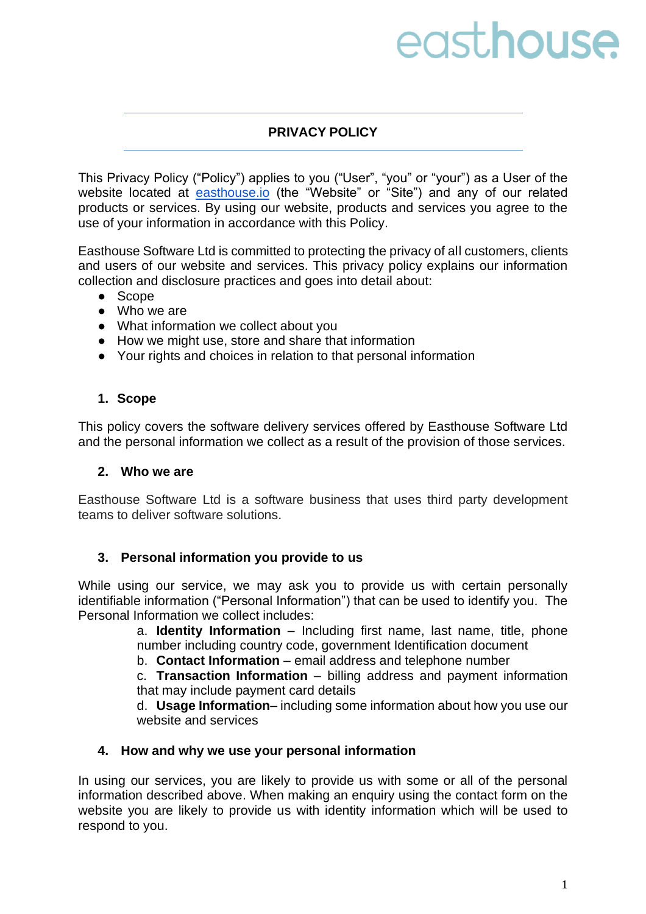# easthouse

# **PRIVACY POLICY**

This Privacy Policy ("Policy") applies to you ("User", "you" or "your") as a User of the website located at [easthouse.io](https://www.easthouse.io/) (the "Website" or "Site") and any of our related products or services. By using our website, products and services you agree to the use of your information in accordance with this Policy.

Easthouse Software Ltd is committed to protecting the privacy of all customers, clients and users of our website and services. This privacy policy explains our information collection and disclosure practices and goes into detail about:

- Scope
- Who we are
- What information we collect about you
- How we might use, store and share that information
- Your rights and choices in relation to that personal information

#### **1. Scope**

This policy covers the software delivery services offered by Easthouse Software Ltd and the personal information we collect as a result of the provision of those services.

#### **2. Who we are**

Easthouse Software Ltd is a software business that uses third party development teams to deliver software solutions.

#### **3. Personal information you provide to us**

While using our service, we may ask you to provide us with certain personally identifiable information ("Personal Information") that can be used to identify you. The Personal Information we collect includes:

a. **Identity Information** – Including first name, last name, title, phone number including country code, government Identification document

b. **Contact Information** – email address and telephone number

c. **Transaction Information** – billing address and payment information that may include payment card details

d. **Usage Information**– including some information about how you use our website and services

#### **4. How and why we use your personal information**

In using our services, you are likely to provide us with some or all of the personal information described above. When making an enquiry using the contact form on the website you are likely to provide us with identity information which will be used to respond to you.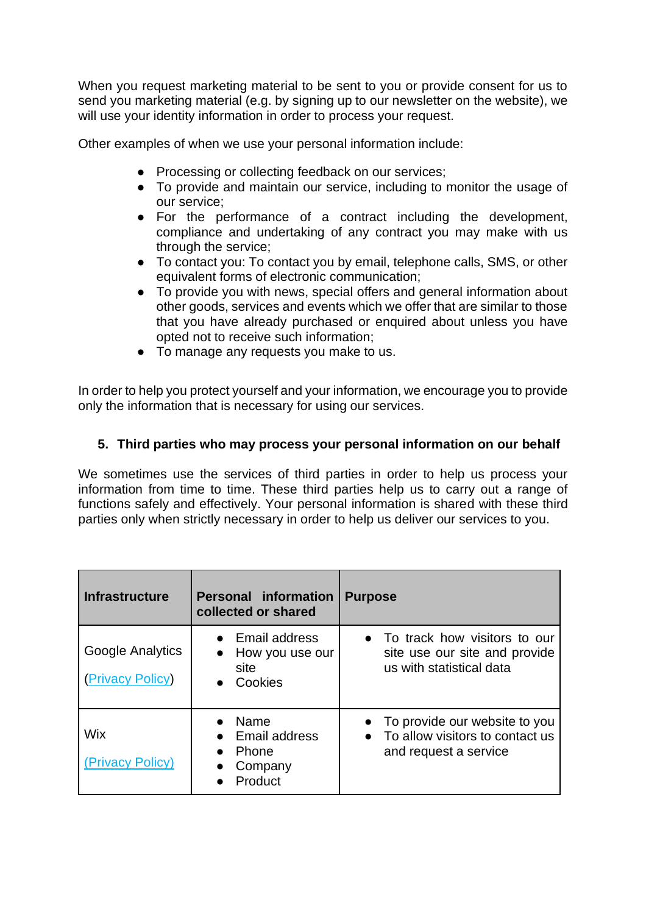When you request marketing material to be sent to you or provide consent for us to send you marketing material (e.g. by signing up to our newsletter on the website), we will use your identity information in order to process your request.

Other examples of when we use your personal information include:

- Processing or collecting feedback on our services;
- To provide and maintain our service, including to monitor the usage of our service;
- For the performance of a contract including the development, compliance and undertaking of any contract you may make with us through the service;
- To contact you: To contact you by email, telephone calls, SMS, or other equivalent forms of electronic communication;
- To provide you with news, special offers and general information about other goods, services and events which we offer that are similar to those that you have already purchased or enquired about unless you have opted not to receive such information;
- To manage any requests you make to us.

In order to help you protect yourself and your information, we encourage you to provide only the information that is necessary for using our services.

## **5. Third parties who may process your personal information on our behalf**

We sometimes use the services of third parties in order to help us process your information from time to time. These third parties help us to carry out a range of functions safely and effectively. Your personal information is shared with these third parties only when strictly necessary in order to help us deliver our services to you.

| <b>Infrastructure</b>                | <b>Personal information</b><br>collected or shared               | <b>Purpose</b>                                                                              |
|--------------------------------------|------------------------------------------------------------------|---------------------------------------------------------------------------------------------|
| Google Analytics<br>(Privacy Policy) | Email address<br>How you use our<br>$\bullet$<br>site<br>Cookies | • To track how visitors to our<br>site use our site and provide<br>us with statistical data |
| Wix<br>(Privacy Policy)              | Name<br>Email address<br>Phone<br>Company<br>Product             | • To provide our website to you<br>To allow visitors to contact us<br>and request a service |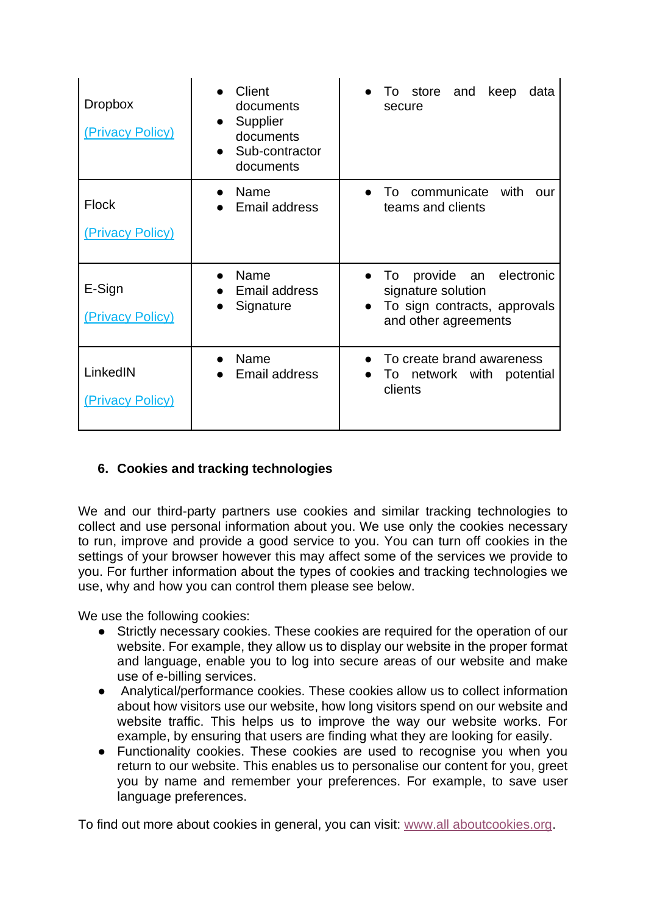| <b>Dropbox</b><br>(Privacy Policy) | Client<br>documents<br>Supplier<br>documents<br>Sub-contractor<br>documents | • To store and<br>keep<br>data<br>secure                                                                                  |
|------------------------------------|-----------------------------------------------------------------------------|---------------------------------------------------------------------------------------------------------------------------|
| <b>Flock</b><br>(Privacy Policy)   | Name<br>Email address                                                       | communicate<br>with<br>To<br>Our<br>teams and clients                                                                     |
| E-Sign<br>(Privacy Policy)         | Name<br>Email address<br>Signature                                          | provide an<br>electronic<br>To<br>signature solution<br>To sign contracts, approvals<br>$\bullet$<br>and other agreements |
| LinkedIN<br>(Privacy Policy)       | Name<br>Email address                                                       | To create brand awareness<br>To network with potential<br>clients                                                         |

## **6. Cookies and tracking technologies**

We and our third-party partners use cookies and similar tracking technologies to collect and use personal information about you. We use only the cookies necessary to run, improve and provide a good service to you. You can turn off cookies in the settings of your browser however this may affect some of the services we provide to you. For further information about the types of cookies and tracking technologies we use, why and how you can control them please see below.

We use the following cookies:

- Strictly necessary cookies. These cookies are required for the operation of our website. For example, they allow us to display our website in the proper format and language, enable you to log into secure areas of our website and make use of e-billing services.
- Analytical/performance cookies. These cookies allow us to collect information about how visitors use our website, how long visitors spend on our website and website traffic. This helps us to improve the way our website works. For example, by ensuring that users are finding what they are looking for easily.
- Functionality cookies. These cookies are used to recognise you when you return to our website. This enables us to personalise our content for you, greet you by name and remember your preferences. For example, to save user language preferences.

To find out more about cookies in general, you can visit: [www.all aboutcookies.org.](http://www.allaboutcookies.org/)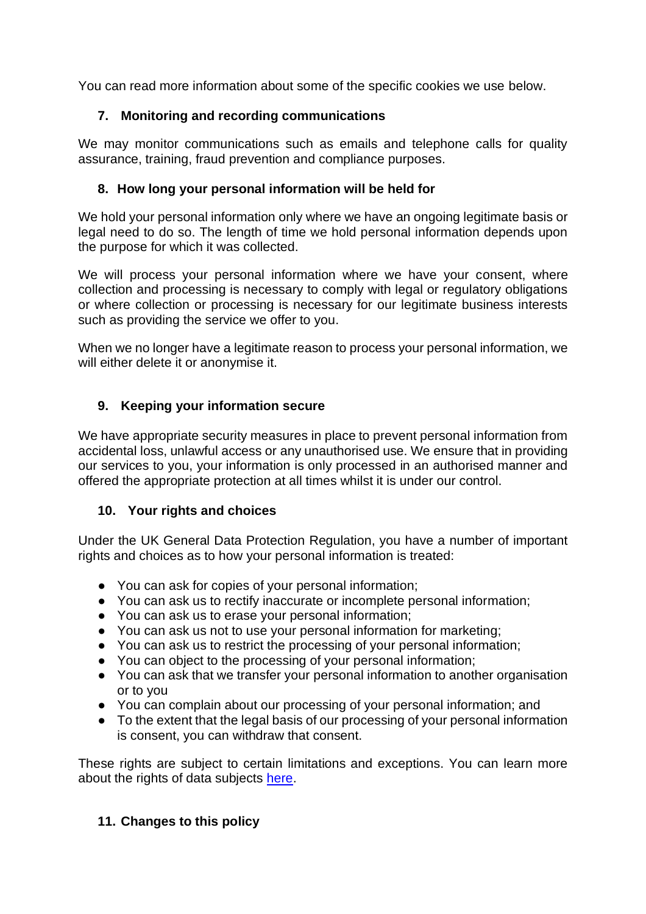You can read more information about some of the specific cookies we use below.

# **7. Monitoring and recording communications**

We may monitor communications such as emails and telephone calls for quality assurance, training, fraud prevention and compliance purposes.

# **8. How long your personal information will be held for**

We hold your personal information only where we have an ongoing legitimate basis or legal need to do so. The length of time we hold personal information depends upon the purpose for which it was collected.

We will process your personal information where we have your consent, where collection and processing is necessary to comply with legal or regulatory obligations or where collection or processing is necessary for our legitimate business interests such as providing the service we offer to you.

When we no longer have a legitimate reason to process your personal information, we will either delete it or anonymise it.

# **9. Keeping your information secure**

We have appropriate security measures in place to prevent personal information from accidental loss, unlawful access or any unauthorised use. We ensure that in providing our services to you, your information is only processed in an authorised manner and offered the appropriate protection at all times whilst it is under our control.

## **10. Your rights and choices**

Under the UK General Data Protection Regulation, you have a number of important rights and choices as to how your personal information is treated:

- You can ask for copies of your personal information;
- You can ask us to rectify inaccurate or incomplete personal information:
- You can ask us to erase your personal information;
- You can ask us not to use your personal information for marketing;
- You can ask us to restrict the processing of your personal information;
- You can object to the processing of your personal information;
- You can ask that we transfer your personal information to another organisation or to you
- You can complain about our processing of your personal information; and
- To the extent that the legal basis of our processing of your personal information is consent, you can withdraw that consent.

These rights are subject to certain limitations and exceptions. You can learn more about the rights of data subjects [here.](https://ico.org.uk/for-organisations/guide-to-data-protection/guide-to-the-general-data-protection-regulation-gdpr/individual-rights/)

# **11. Changes to this policy**